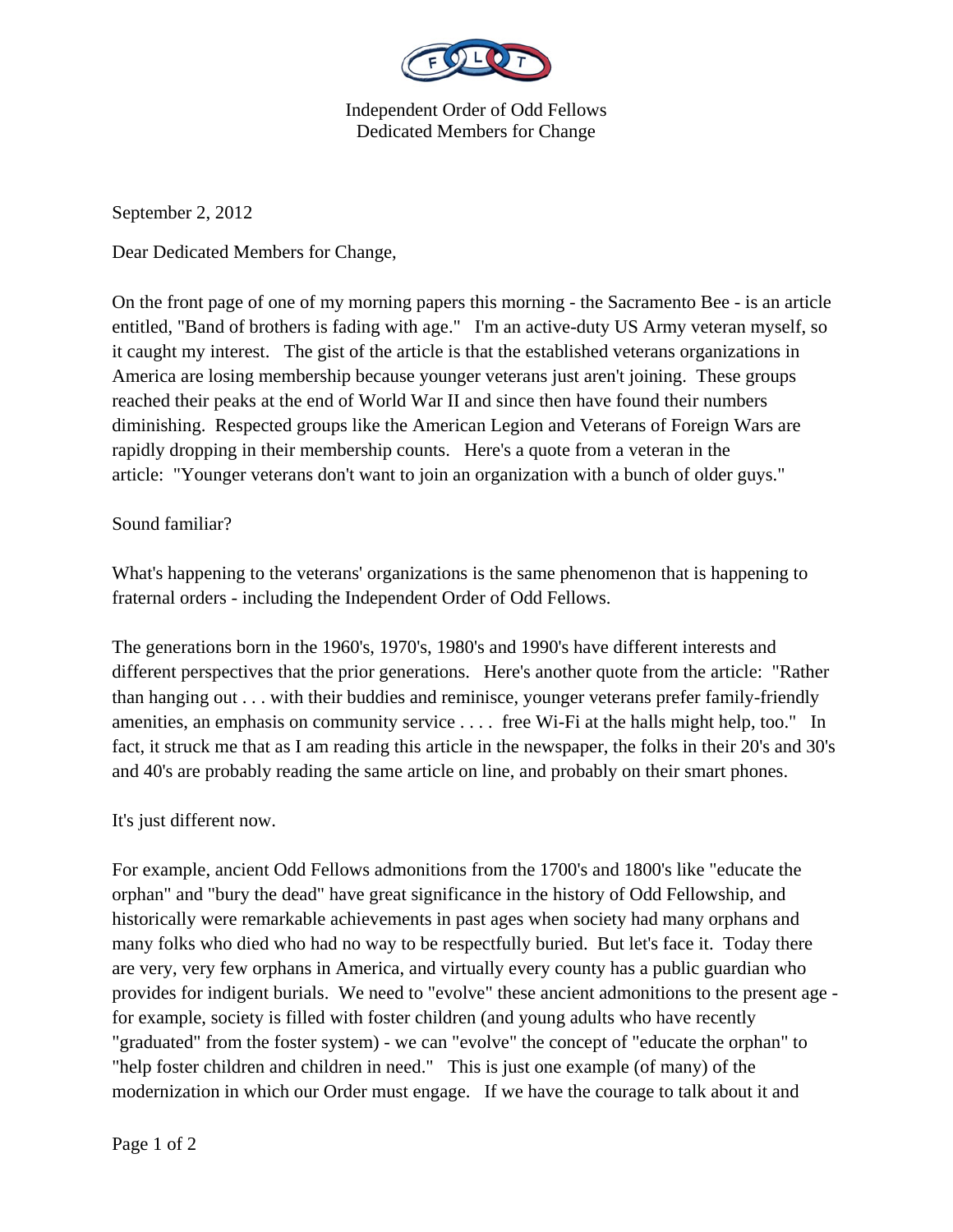

Independent Order of Odd Fellows Dedicated Members for Change

September 2, 2012

Dear Dedicated Members for Change,

On the front page of one of my morning papers this morning - the Sacramento Bee - is an article entitled, "Band of brothers is fading with age." I'm an active-duty US Army veteran myself, so it caught my interest. The gist of the article is that the established veterans organizations in America are losing membership because younger veterans just aren't joining. These groups reached their peaks at the end of World War II and since then have found their numbers diminishing. Respected groups like the American Legion and Veterans of Foreign Wars are rapidly dropping in their membership counts. Here's a quote from a veteran in the article: "Younger veterans don't want to join an organization with a bunch of older guys."

## Sound familiar?

What's happening to the veterans' organizations is the same phenomenon that is happening to fraternal orders - including the Independent Order of Odd Fellows.

The generations born in the 1960's, 1970's, 1980's and 1990's have different interests and different perspectives that the prior generations. Here's another quote from the article: "Rather than hanging out . . . with their buddies and reminisce, younger veterans prefer family-friendly amenities, an emphasis on community service . . . . free Wi-Fi at the halls might help, too." In fact, it struck me that as I am reading this article in the newspaper, the folks in their 20's and 30's and 40's are probably reading the same article on line, and probably on their smart phones.

## It's just different now.

For example, ancient Odd Fellows admonitions from the 1700's and 1800's like "educate the orphan" and "bury the dead" have great significance in the history of Odd Fellowship, and historically were remarkable achievements in past ages when society had many orphans and many folks who died who had no way to be respectfully buried. But let's face it. Today there are very, very few orphans in America, and virtually every county has a public guardian who provides for indigent burials. We need to "evolve" these ancient admonitions to the present age for example, society is filled with foster children (and young adults who have recently "graduated" from the foster system) - we can "evolve" the concept of "educate the orphan" to "help foster children and children in need." This is just one example (of many) of the modernization in which our Order must engage. If we have the courage to talk about it and